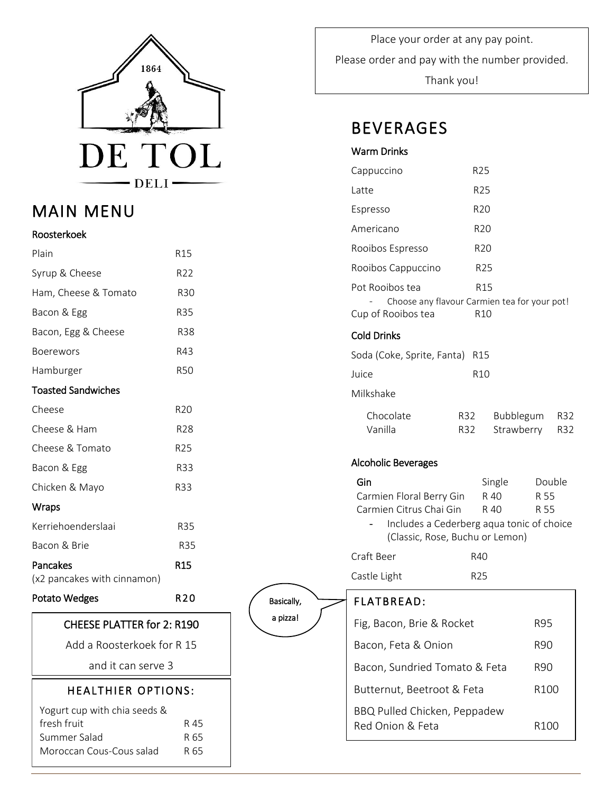

## MAIN MENU

### Roosterkoek

| Plain                                                                                   | R15                  |  |  |  |
|-----------------------------------------------------------------------------------------|----------------------|--|--|--|
| Syrup & Cheese                                                                          | R <sub>22</sub>      |  |  |  |
| Ham, Cheese & Tomato                                                                    | <b>R30</b>           |  |  |  |
| Bacon & Egg                                                                             | <b>R35</b>           |  |  |  |
| Bacon, Egg & Cheese                                                                     | <b>R38</b>           |  |  |  |
| <b>Boerewors</b>                                                                        | R43                  |  |  |  |
| Hamburger                                                                               | <b>R50</b>           |  |  |  |
| <b>Toasted Sandwiches</b>                                                               |                      |  |  |  |
| Cheese                                                                                  | R <sub>20</sub>      |  |  |  |
| Cheese & Ham                                                                            | R28                  |  |  |  |
| Cheese & Tomato                                                                         | R25                  |  |  |  |
| Bacon & Egg                                                                             | R33                  |  |  |  |
| Chicken & Mayo                                                                          | R33                  |  |  |  |
| Wraps                                                                                   |                      |  |  |  |
| Kerriehoenderslaai                                                                      | <b>R35</b>           |  |  |  |
| Bacon & Brie                                                                            | <b>R35</b>           |  |  |  |
| Pancakes<br>(x2 pancakes with cinnamon)                                                 | <b>R15</b>           |  |  |  |
| <b>Potato Wedges</b>                                                                    | R20                  |  |  |  |
| <b>CHEESE PLATTER for 2: R190</b>                                                       |                      |  |  |  |
| Add a Roosterkoek for R 15                                                              |                      |  |  |  |
| and it can serve 3                                                                      |                      |  |  |  |
| <b>HEALTHIER OPTIONS:</b>                                                               |                      |  |  |  |
| Yogurt cup with chia seeds &<br>fresh fruit<br>Summer Salad<br>Moroccan Cous-Cous salad | R 45<br>R 65<br>R 65 |  |  |  |
|                                                                                         |                      |  |  |  |

 Please order and pay with the number provided. i Place your order at any pay point. Thank you!

## BEVERAGES

### Warm Drinks

| Cappuccino                                                                                                                                 | R25                                   |                        |
|--------------------------------------------------------------------------------------------------------------------------------------------|---------------------------------------|------------------------|
| Latte                                                                                                                                      | R25                                   |                        |
| Espresso                                                                                                                                   | R <sub>20</sub>                       |                        |
| Americano                                                                                                                                  | R <sub>20</sub>                       |                        |
| Rooibos Espresso                                                                                                                           | R <sub>20</sub>                       |                        |
| Rooibos Cappuccino                                                                                                                         | R <sub>25</sub>                       |                        |
| Pot Rooibos tea<br>Choose any flavour Carmien tea for your pot!<br>Cup of Rooibos tea                                                      | R15<br>R <sub>10</sub>                |                        |
| <b>Cold Drinks</b>                                                                                                                         |                                       |                        |
| Soda (Coke, Sprite, Fanta)                                                                                                                 | R <sub>15</sub>                       |                        |
| Juice                                                                                                                                      | R <sub>10</sub>                       |                        |
| Milkshake                                                                                                                                  |                                       |                        |
| Chocolate<br>Vanilla                                                                                                                       | R32<br>Bubblegum<br>Strawberry<br>R32 | R32<br>R32             |
| <b>Alcoholic Beverages</b>                                                                                                                 |                                       |                        |
| Gin<br>Carmien Floral Berry Gin<br>Carmien Citrus Chai Gin<br>Includes a Cederberg aqua tonic of choice<br>(Classic, Rose, Buchu or Lemon) | Single<br>R 40<br>R 40                | Double<br>R 55<br>R 55 |
| Craft Beer                                                                                                                                 | R40                                   |                        |
| Castle Light                                                                                                                               | R25                                   |                        |
| FLATBREAD:                                                                                                                                 |                                       |                        |
| Fig, Bacon, Brie & Rocket                                                                                                                  |                                       | <b>R95</b>             |
| Bacon, Feta & Onion                                                                                                                        |                                       | R90                    |
| Bacon, Sundried Tomato & Feta                                                                                                              |                                       | R90                    |
| Butternut, Beetroot & Feta                                                                                                                 |                                       | R <sub>100</sub>       |
| BBQ Pulled Chicken, Peppadew<br>Red Onion & Feta<br>R <sub>100</sub>                                                                       |                                       |                        |

Basically, a pizza!